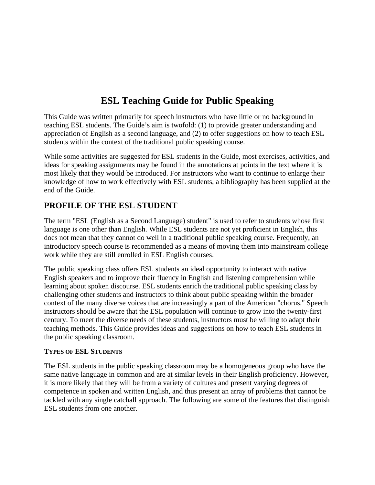# **ESL Teaching Guide for Public Speaking**

This Guide was written primarily for speech instructors who have little or no background in teaching ESL students. The Guide's aim is twofold: (1) to provide greater understanding and appreciation of English as a second language, and (2) to offer suggestions on how to teach ESL students within the context of the traditional public speaking course.

While some activities are suggested for ESL students in the Guide, most exercises, activities, and ideas for speaking assignments may be found in the annotations at points in the text where it is most likely that they would be introduced. For instructors who want to continue to enlarge their knowledge of how to work effectively with ESL students, a bibliography has been supplied at the end of the Guide.

# **PROFILE OF THE ESL STUDENT**

The term "ESL (English as a Second Language) student" is used to refer to students whose first language is one other than English. While ESL students are not yet proficient in English, this does not mean that they cannot do well in a traditional public speaking course. Frequently, an introductory speech course is recommended as a means of moving them into mainstream college work while they are still enrolled in ESL English courses.

The public speaking class offers ESL students an ideal opportunity to interact with native English speakers and to improve their fluency in English and listening comprehension while learning about spoken discourse. ESL students enrich the traditional public speaking class by challenging other students and instructors to think about public speaking within the broader context of the many diverse voices that are increasingly a part of the American "chorus." Speech instructors should be aware that the ESL population will continue to grow into the twenty-first century. To meet the diverse needs of these students, instructors must be willing to adapt their teaching methods. This Guide provides ideas and suggestions on how to teach ESL students in the public speaking classroom.

# **TYPES OF ESL STUDENTS**

The ESL students in the public speaking classroom may be a homogeneous group who have the same native language in common and are at similar levels in their English proficiency. However, it is more likely that they will be from a variety of cultures and present varying degrees of competence in spoken and written English, and thus present an array of problems that cannot be tackled with any single catchall approach. The following are some of the features that distinguish ESL students from one another.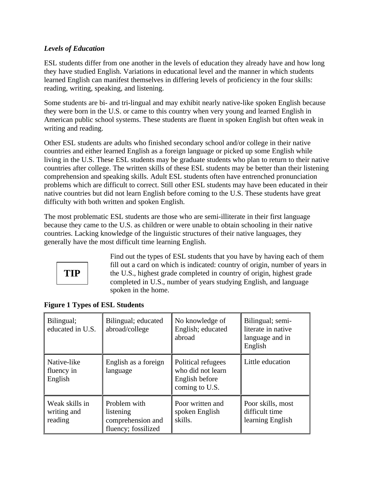# *Levels of Education*

ESL students differ from one another in the levels of education they already have and how long they have studied English. Variations in educational level and the manner in which students learned English can manifest themselves in differing levels of proficiency in the four skills: reading, writing, speaking, and listening.

Some students are bi- and tri-lingual and may exhibit nearly native-like spoken English because they were born in the U.S. or came to this country when very young and learned English in American public school systems. These students are fluent in spoken English but often weak in writing and reading.

Other ESL students are adults who finished secondary school and/or college in their native countries and either learned English as a foreign language or picked up some English while living in the U.S. These ESL students may be graduate students who plan to return to their native countries after college. The written skills of these ESL students may be better than their listening comprehension and speaking skills. Adult ESL students often have entrenched pronunciation problems which are difficult to correct. Still other ESL students may have been educated in their native countries but did not learn English before coming to the U.S. These students have great difficulty with both written and spoken English.

The most problematic ESL students are those who are semi-illiterate in their first language because they came to the U.S. as children or were unable to obtain schooling in their native countries. Lacking knowledge of the linguistic structures of their native languages, they generally have the most difficult time learning English.



Find out the types of ESL students that you have by having each of them fill out a card on which is indicated: country of origin, number of years in the U.S., highest grade completed in country of origin, highest grade completed in U.S., number of years studying English, and language spoken in the home.

| Bilingual;<br>educated in U.S.           | Bilingual; educated<br>abroad/college                                 | No knowledge of<br>English; educated<br>abroad                              | Bilingual; semi-<br>literate in native<br>language and in<br>English |
|------------------------------------------|-----------------------------------------------------------------------|-----------------------------------------------------------------------------|----------------------------------------------------------------------|
| Native-like<br>fluency in<br>English     | English as a foreign<br>language                                      | Political refugees<br>who did not learn<br>English before<br>coming to U.S. | Little education                                                     |
| Weak skills in<br>writing and<br>reading | Problem with<br>listening<br>comprehension and<br>fluency; fossilized | Poor written and<br>spoken English<br>skills.                               | Poor skills, most<br>difficult time<br>learning English              |

|  |  |  |  |  | <b>Figure 1 Types of ESL Students</b> |
|--|--|--|--|--|---------------------------------------|
|--|--|--|--|--|---------------------------------------|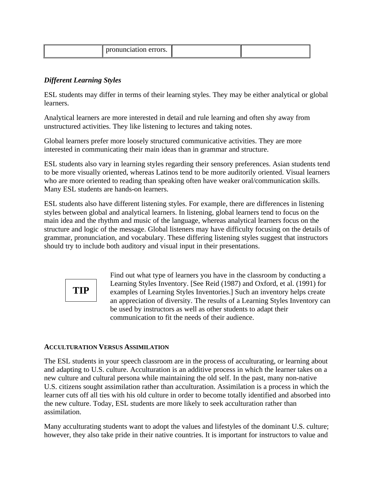| v.v. |
|------|
|------|

# *Different Learning Styles*

ESL students may differ in terms of their learning styles. They may be either analytical or global learners.

Analytical learners are more interested in detail and rule learning and often shy away from unstructured activities. They like listening to lectures and taking notes.

Global learners prefer more loosely structured communicative activities. They are more interested in communicating their main ideas than in grammar and structure.

ESL students also vary in learning styles regarding their sensory preferences. Asian students tend to be more visually oriented, whereas Latinos tend to be more auditorily oriented. Visual learners who are more oriented to reading than speaking often have weaker oral/communication skills. Many ESL students are hands-on learners.

ESL students also have different listening styles. For example, there are differences in listening styles between global and analytical learners. In listening, global learners tend to focus on the main idea and the rhythm and music of the language, whereas analytical learners focus on the structure and logic of the message. Global listeners may have difficulty focusing on the details of grammar, pronunciation, and vocabulary. These differing listening styles suggest that instructors should try to include both auditory and visual input in their presentations.



Find out what type of learners you have in the classroom by conducting a Learning Styles Inventory. [See Reid (1987) and Oxford, et al. (1991) for examples of Learning Styles Inventories.] Such an inventory helps create an appreciation of diversity. The results of a Learning Styles Inventory can be used by instructors as well as other students to adapt their communication to fit the needs of their audience.

# **ACCULTURATION VERSUS ASSIMILATION**

The ESL students in your speech classroom are in the process of acculturating, or learning about and adapting to U.S. culture. Acculturation is an additive process in which the learner takes on a new culture and cultural persona while maintaining the old self. In the past, many non-native U.S. citizens sought assimilation rather than acculturation. Assimilation is a process in which the learner cuts off all ties with his old culture in order to become totally identified and absorbed into the new culture. Today, ESL students are more likely to seek acculturation rather than assimilation.

Many acculturating students want to adopt the values and lifestyles of the dominant U.S. culture; however, they also take pride in their native countries. It is important for instructors to value and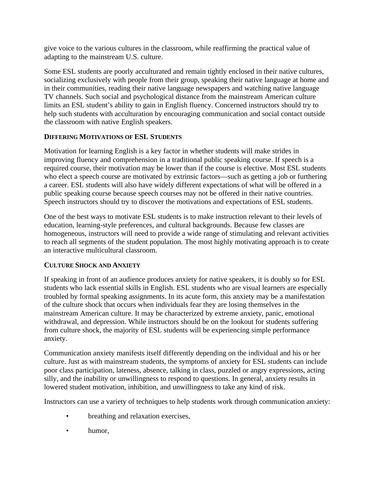give voice to the various cultures in the classroom, while reaffirming the practical value of adapting to the mainstream U.S. culture.

Some ESL students are poorly acculturated and remain tightly enclosed in their native cultures, socializing exclusively with people from their group, speaking their native language at home and in their communities, reading their native language newspapers and watching native language TV channels. Such social and psychological distance from the mainstream American culture limits an ESL student's ability to gain in English fluency. Concerned instructors should try to help such students with acculturation by encouraging communication and social contact outside the classroom with native English speakers.

# **DIFFERING MOTIVATIONS OF ESL STUDENTS**

Motivation for learning English is a key factor in whether students will make strides in improving fluency and comprehension in a traditional public speaking course. If speech is a required course, their motivation may be lower than if the course is elective. Most ESL students who elect a speech course are motivated by extrinsic factors—such as getting a job or furthering a career. ESL students will also have widely different expectations of what will be offered in a public speaking course because speech courses may not be offered in their native countries. Speech instructors should try to discover the motivations and expectations of ESL students.

One of the best ways to motivate ESL students is to make instruction relevant to their levels of education, learning-style preferences, and cultural backgrounds. Because few classes are homogeneous, instructors will need to provide a wide range of stimulating and relevant activities to reach all segments of the student population. The most highly motivating approach is to create an interactive multicultural classroom.

# **CULTURE SHOCK AND ANXIETY**

If speaking in front of an audience produces anxiety for native speakers, it is doubly so for ESL students who lack essential skills in English. ESL students who are visual learners are especially troubled by formal speaking assignments. In its acute form, this anxiety may be a manifestation of the culture shock that occurs when individuals fear they are losing themselves in the mainstream American culture. It may be characterized by extreme anxiety, panic, emotional withdrawal, and depression. While instructors should be on the lookout for students suffering from culture shock, the majority of ESL students will be experiencing simple performance anxiety.

Communication anxiety manifests itself differently depending on the individual and his or her culture. Just as with mainstream students, the symptoms of anxiety for ESL students can include poor class participation, lateness, absence, talking in class, puzzled or angry expressions, acting silly, and the inability or unwillingness to respond to questions. In general, anxiety results in lowered student motivation, inhibition, and unwillingness to take any kind of risk.

Instructors can use a variety of techniques to help students work through communication anxiety:

- breathing and relaxation exercises,
- humor,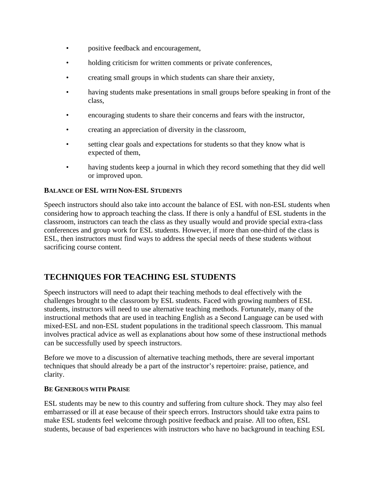- positive feedback and encouragement,
- holding criticism for written comments or private conferences,
- creating small groups in which students can share their anxiety,
- having students make presentations in small groups before speaking in front of the class,
- encouraging students to share their concerns and fears with the instructor,
- creating an appreciation of diversity in the classroom,
- setting clear goals and expectations for students so that they know what is expected of them,
- having students keep a journal in which they record something that they did well or improved upon.

# **BALANCE OF ESL WITH NON-ESL STUDENTS**

Speech instructors should also take into account the balance of ESL with non-ESL students when considering how to approach teaching the class. If there is only a handful of ESL students in the classroom, instructors can teach the class as they usually would and provide special extra-class conferences and group work for ESL students. However, if more than one-third of the class is ESL, then instructors must find ways to address the special needs of these students without sacrificing course content.

# **TECHNIQUES FOR TEACHING ESL STUDENTS**

Speech instructors will need to adapt their teaching methods to deal effectively with the challenges brought to the classroom by ESL students. Faced with growing numbers of ESL students, instructors will need to use alternative teaching methods. Fortunately, many of the instructional methods that are used in teaching English as a Second Language can be used with mixed-ESL and non-ESL student populations in the traditional speech classroom. This manual involves practical advice as well as explanations about how some of these instructional methods can be successfully used by speech instructors.

Before we move to a discussion of alternative teaching methods, there are several important techniques that should already be a part of the instructor's repertoire: praise, patience, and clarity.

#### **BE GENEROUS WITH PRAISE**

ESL students may be new to this country and suffering from culture shock. They may also feel embarrassed or ill at ease because of their speech errors. Instructors should take extra pains to make ESL students feel welcome through positive feedback and praise. All too often, ESL students, because of bad experiences with instructors who have no background in teaching ESL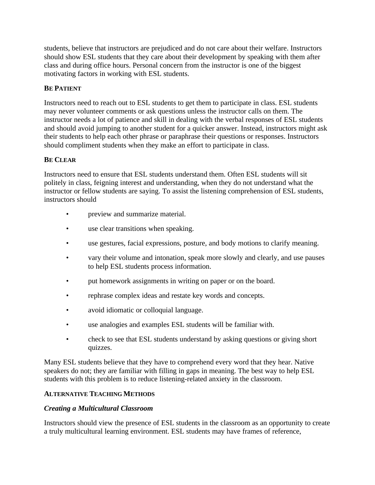students, believe that instructors are prejudiced and do not care about their welfare. Instructors should show ESL students that they care about their development by speaking with them after class and during office hours. Personal concern from the instructor is one of the biggest motivating factors in working with ESL students.

#### **BE PATIENT**

Instructors need to reach out to ESL students to get them to participate in class. ESL students may never volunteer comments or ask questions unless the instructor calls on them. The instructor needs a lot of patience and skill in dealing with the verbal responses of ESL students and should avoid jumping to another student for a quicker answer. Instead, instructors might ask their students to help each other phrase or paraphrase their questions or responses. Instructors should compliment students when they make an effort to participate in class.

#### **BE CLEAR**

Instructors need to ensure that ESL students understand them. Often ESL students will sit politely in class, feigning interest and understanding, when they do not understand what the instructor or fellow students are saying. To assist the listening comprehension of ESL students, instructors should

- preview and summarize material.
- use clear transitions when speaking.
- use gestures, facial expressions, posture, and body motions to clarify meaning.
- vary their volume and intonation, speak more slowly and clearly, and use pauses to help ESL students process information.
- put homework assignments in writing on paper or on the board.
- rephrase complex ideas and restate key words and concepts.
- avoid idiomatic or colloquial language.
- use analogies and examples ESL students will be familiar with.
- check to see that ESL students understand by asking questions or giving short quizzes.

Many ESL students believe that they have to comprehend every word that they hear. Native speakers do not; they are familiar with filling in gaps in meaning. The best way to help ESL students with this problem is to reduce listening-related anxiety in the classroom.

#### **ALTERNATIVE TEACHING METHODS**

#### *Creating a Multicultural Classroom*

Instructors should view the presence of ESL students in the classroom as an opportunity to create a truly multicultural learning environment. ESL students may have frames of reference,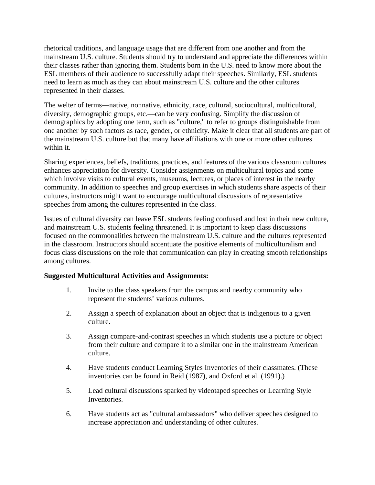rhetorical traditions, and language usage that are different from one another and from the mainstream U.S. culture. Students should try to understand and appreciate the differences within their classes rather than ignoring them. Students born in the U.S. need to know more about the ESL members of their audience to successfully adapt their speeches. Similarly, ESL students need to learn as much as they can about mainstream U.S. culture and the other cultures represented in their classes.

The welter of terms—native, nonnative, ethnicity, race, cultural, sociocultural, multicultural, diversity, demographic groups, etc.—can be very confusing. Simplify the discussion of demographics by adopting one term, such as "culture," to refer to groups distinguishable from one another by such factors as race, gender, or ethnicity. Make it clear that all students are part of the mainstream U.S. culture but that many have affiliations with one or more other cultures within it.

Sharing experiences, beliefs, traditions, practices, and features of the various classroom cultures enhances appreciation for diversity. Consider assignments on multicultural topics and some which involve visits to cultural events, museums, lectures, or places of interest in the nearby community. In addition to speeches and group exercises in which students share aspects of their cultures, instructors might want to encourage multicultural discussions of representative speeches from among the cultures represented in the class.

Issues of cultural diversity can leave ESL students feeling confused and lost in their new culture, and mainstream U.S. students feeling threatened. It is important to keep class discussions focused on the commonalities between the mainstream U.S. culture and the cultures represented in the classroom. Instructors should accentuate the positive elements of multiculturalism and focus class discussions on the role that communication can play in creating smooth relationships among cultures.

# **Suggested Multicultural Activities and Assignments:**

- 1. Invite to the class speakers from the campus and nearby community who represent the students' various cultures.
- 2. Assign a speech of explanation about an object that is indigenous to a given culture.
- 3. Assign compare-and-contrast speeches in which students use a picture or object from their culture and compare it to a similar one in the mainstream American culture.
- 4. Have students conduct Learning Styles Inventories of their classmates. (These inventories can be found in Reid (1987), and Oxford et al. (1991).)
- 5. Lead cultural discussions sparked by videotaped speeches or Learning Style Inventories.
- 6. Have students act as "cultural ambassadors" who deliver speeches designed to increase appreciation and understanding of other cultures.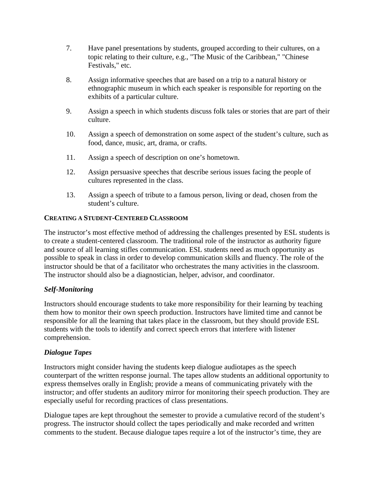- 7. Have panel presentations by students, grouped according to their cultures, on a topic relating to their culture, e.g., "The Music of the Caribbean," "Chinese Festivals," etc.
- 8. Assign informative speeches that are based on a trip to a natural history or ethnographic museum in which each speaker is responsible for reporting on the exhibits of a particular culture.
- 9. Assign a speech in which students discuss folk tales or stories that are part of their culture.
- 10. Assign a speech of demonstration on some aspect of the student's culture, such as food, dance, music, art, drama, or crafts.
- 11. Assign a speech of description on one's hometown.
- 12. Assign persuasive speeches that describe serious issues facing the people of cultures represented in the class.
- 13. Assign a speech of tribute to a famous person, living or dead, chosen from the student's culture.

# **CREATING A STUDENT-CENTERED CLASSROOM**

The instructor's most effective method of addressing the challenges presented by ESL students is to create a student-centered classroom. The traditional role of the instructor as authority figure and source of all learning stifles communication. ESL students need as much opportunity as possible to speak in class in order to develop communication skills and fluency. The role of the instructor should be that of a facilitator who orchestrates the many activities in the classroom. The instructor should also be a diagnostician, helper, advisor, and coordinator.

# *Self-Monitoring*

Instructors should encourage students to take more responsibility for their learning by teaching them how to monitor their own speech production. Instructors have limited time and cannot be responsible for all the learning that takes place in the classroom, but they should provide ESL students with the tools to identify and correct speech errors that interfere with listener comprehension.

# *Dialogue Tapes*

Instructors might consider having the students keep dialogue audiotapes as the speech counterpart of the written response journal. The tapes allow students an additional opportunity to express themselves orally in English; provide a means of communicating privately with the instructor; and offer students an auditory mirror for monitoring their speech production. They are especially useful for recording practices of class presentations.

Dialogue tapes are kept throughout the semester to provide a cumulative record of the student's progress. The instructor should collect the tapes periodically and make recorded and written comments to the student. Because dialogue tapes require a lot of the instructor's time, they are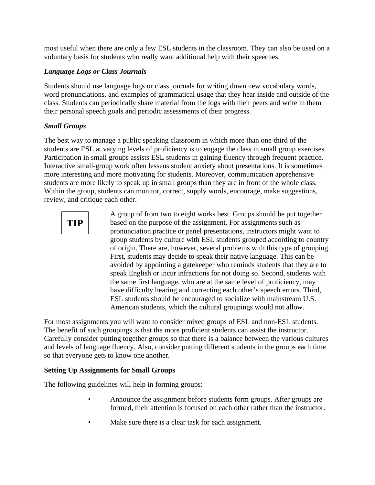most useful when there are only a few ESL students in the classroom. They can also be used on a voluntary basis for students who really want additional help with their speeches.

# *Language Logs or Class Journals*

Students should use language logs or class journals for writing down new vocabulary words, word pronunciations, and examples of grammatical usage that they hear inside and outside of the class. Students can periodically share material from the logs with their peers and write in them their personal speech goals and periodic assessments of their progress.

# *Small Groups*

The best way to manage a public speaking classroom in which more than one-third of the students are ESL at varying levels of proficiency is to engage the class in small group exercises. Participation in small groups assists ESL students in gaining fluency through frequent practice. Interactive small-group work often lessens student anxiety about presentations. It is sometimes more interesting and more motivating for students. Moreover, communication apprehensive students are more likely to speak up in small groups than they are in front of the whole class. Within the group, students can monitor, correct, supply words, encourage, make suggestions, review, and critique each other.



A group of from two to eight works best. Groups should be put together based on the purpose of the assignment. For assignments such as pronunciation practice or panel presentations, instructors might want to group students by culture with ESL students grouped according to country of origin. There are, however, several problems with this type of grouping. First, students may decide to speak their native language. This can be avoided by appointing a gatekeeper who reminds students that they are to speak English or incur infractions for not doing so. Second, students with the same first language, who are at the same level of proficiency, may have difficulty hearing and correcting each other's speech errors. Third, ESL students should be encouraged to socialize with mainstream U.S. American students, which the cultural groupings would not allow.

For most assignments you will want to consider mixed groups of ESL and non-ESL students. The benefit of such groupings is that the more proficient students can assist the instructor. Carefully consider putting together groups so that there is a balance between the various cultures and levels of language fluency. Also, consider putting different students in the groups each time so that everyone gets to know one another.

# **Setting Up Assignments for Small Groups**

The following guidelines will help in forming groups:

- Announce the assignment before students form groups. After groups are formed, their attention is focused on each other rather than the instructor.
- Make sure there is a clear task for each assignment.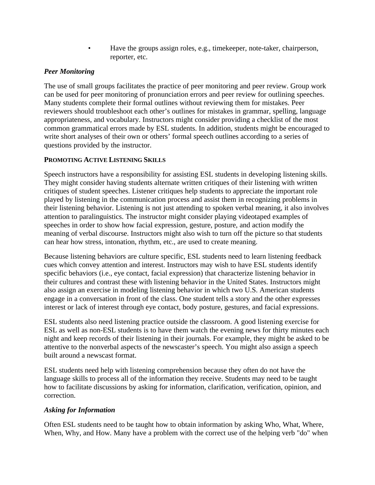• Have the groups assign roles, e.g., timekeeper, note-taker, chairperson, reporter, etc.

# *Peer Monitoring*

The use of small groups facilitates the practice of peer monitoring and peer review. Group work can be used for peer monitoring of pronunciation errors and peer review for outlining speeches. Many students complete their formal outlines without reviewing them for mistakes. Peer reviewers should troubleshoot each other's outlines for mistakes in grammar, spelling, language appropriateness, and vocabulary. Instructors might consider providing a checklist of the most common grammatical errors made by ESL students. In addition, students might be encouraged to write short analyses of their own or others' formal speech outlines according to a series of questions provided by the instructor.

# **PROMOTING ACTIVE LISTENING SKILLS**

Speech instructors have a responsibility for assisting ESL students in developing listening skills. They might consider having students alternate written critiques of their listening with written critiques of student speeches. Listener critiques help students to appreciate the important role played by listening in the communication process and assist them in recognizing problems in their listening behavior. Listening is not just attending to spoken verbal meaning, it also involves attention to paralinguistics. The instructor might consider playing videotaped examples of speeches in order to show how facial expression, gesture, posture, and action modify the meaning of verbal discourse. Instructors might also wish to turn off the picture so that students can hear how stress, intonation, rhythm, etc., are used to create meaning.

Because listening behaviors are culture specific, ESL students need to learn listening feedback cues which convey attention and interest. Instructors may wish to have ESL students identify specific behaviors (i.e., eye contact, facial expression) that characterize listening behavior in their cultures and contrast these with listening behavior in the United States. Instructors might also assign an exercise in modeling listening behavior in which two U.S. American students engage in a conversation in front of the class. One student tells a story and the other expresses interest or lack of interest through eye contact, body posture, gestures, and facial expressions.

ESL students also need listening practice outside the classroom. A good listening exercise for ESL as well as non-ESL students is to have them watch the evening news for thirty minutes each night and keep records of their listening in their journals. For example, they might be asked to be attentive to the nonverbal aspects of the newscaster's speech. You might also assign a speech built around a newscast format.

ESL students need help with listening comprehension because they often do not have the language skills to process all of the information they receive. Students may need to be taught how to facilitate discussions by asking for information, clarification, verification, opinion, and correction.

# *Asking for Information*

Often ESL students need to be taught how to obtain information by asking Who, What, Where, When, Why, and How. Many have a problem with the correct use of the helping verb "do" when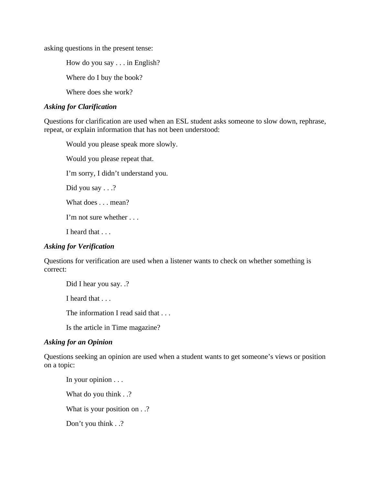asking questions in the present tense:

How do you say . . . in English?

Where do I buy the book?

Where does she work?

#### *Asking for Clarification*

Questions for clarification are used when an ESL student asks someone to slow down, rephrase, repeat, or explain information that has not been understood:

Would you please speak more slowly. Would you please repeat that. I'm sorry, I didn't understand you. Did you say . . .? What does . . . mean? I'm not sure whether . . . I heard that . . .

# *Asking for Verification*

Questions for verification are used when a listener wants to check on whether something is correct:

Did I hear you say. .? I heard that . . . The information I read said that . . . Is the article in Time magazine? *Asking for an Opinion*

Questions seeking an opinion are used when a student wants to get someone's views or position on a topic:

In your opinion . . . What do you think . .? What is your position on  $\ldots$ ? Don't you think . .?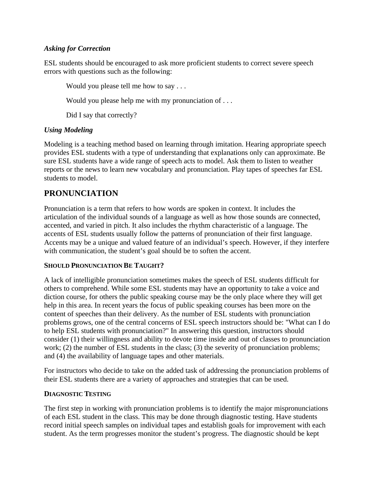# *Asking for Correction*

ESL students should be encouraged to ask more proficient students to correct severe speech errors with questions such as the following:

Would you please tell me how to say . . .

Would you please help me with my pronunciation of . . .

Did I say that correctly?

# *Using Modeling*

Modeling is a teaching method based on learning through imitation. Hearing appropriate speech provides ESL students with a type of understanding that explanations only can approximate. Be sure ESL students have a wide range of speech acts to model. Ask them to listen to weather reports or the news to learn new vocabulary and pronunciation. Play tapes of speeches far ESL students to model.

# **PRONUNCIATION**

Pronunciation is a term that refers to how words are spoken in context. It includes the articulation of the individual sounds of a language as well as how those sounds are connected, accented, and varied in pitch. It also includes the rhythm characteristic of a language. The accents of ESL students usually follow the patterns of pronunciation of their first language. Accents may be a unique and valued feature of an individual's speech. However, if they interfere with communication, the student's goal should be to soften the accent.

#### **SHOULD PRONUNCIATION BE TAUGHT?**

A lack of intelligible pronunciation sometimes makes the speech of ESL students difficult for others to comprehend. While some ESL students may have an opportunity to take a voice and diction course, for others the public speaking course may be the only place where they will get help in this area. In recent years the focus of public speaking courses has been more on the content of speeches than their delivery. As the number of ESL students with pronunciation problems grows, one of the central concerns of ESL speech instructors should be: "What can I do to help ESL students with pronunciation?" In answering this question, instructors should consider (1) their willingness and ability to devote time inside and out of classes to pronunciation work; (2) the number of ESL students in the class; (3) the severity of pronunciation problems; and (4) the availability of language tapes and other materials.

For instructors who decide to take on the added task of addressing the pronunciation problems of their ESL students there are a variety of approaches and strategies that can be used.

#### **DIAGNOSTIC TESTING**

The first step in working with pronunciation problems is to identify the major mispronunciations of each ESL student in the class. This may be done through diagnostic testing. Have students record initial speech samples on individual tapes and establish goals for improvement with each student. As the term progresses monitor the student's progress. The diagnostic should be kept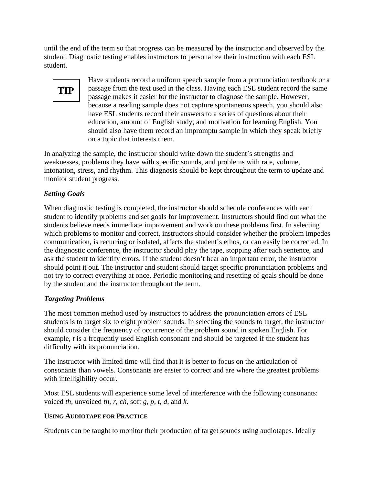until the end of the term so that progress can be measured by the instructor and observed by the student. Diagnostic testing enables instructors to personalize their instruction with each ESL student.

Have students record a uniform speech sample from a pronunciation textbook or a passage from the text used in the class. Having each ESL student record the same passage makes it easier for the instructor to diagnose the sample. However, because a reading sample does not capture spontaneous speech, you should also have ESL students record their answers to a series of questions about their education, amount of English study, and motivation for learning English. You should also have them record an impromptu sample in which they speak briefly on a topic that interests them. **TIP**

In analyzing the sample, the instructor should write down the student's strengths and weaknesses, problems they have with specific sounds, and problems with rate, volume, intonation, stress, and rhythm. This diagnosis should be kept throughout the term to update and monitor student progress.

# *Setting Goals*

When diagnostic testing is completed, the instructor should schedule conferences with each student to identify problems and set goals for improvement. Instructors should find out what the students believe needs immediate improvement and work on these problems first. In selecting which problems to monitor and correct, instructors should consider whether the problem impedes communication, is recurring or isolated, affects the student's ethos, or can easily be corrected. In the diagnostic conference, the instructor should play the tape, stopping after each sentence, and ask the student to identify errors. If the student doesn't hear an important error, the instructor should point it out. The instructor and student should target specific pronunciation problems and not try to correct everything at once. Periodic monitoring and resetting of goals should be done by the student and the instructor throughout the term.

# *Targeting Problems*

The most common method used by instructors to address the pronunciation errors of ESL students is to target six to eight problem sounds. In selecting the sounds to target, the instructor should consider the frequency of occurrence of the problem sound in spoken English. For example, *t* is a frequently used English consonant and should be targeted if the student has difficulty with its pronunciation.

The instructor with limited time will find that it is better to focus on the articulation of consonants than vowels. Consonants are easier to correct and are where the greatest problems with intelligibility occur.

Most ESL students will experience some level of interference with the following consonants: voiced *th*, unvoiced *th*, *r*, *ch*, soft *g*, *p*, *t*, *d*, and *k*.

# **USING AUDIOTAPE FOR PRACTICE**

Students can be taught to monitor their production of target sounds using audiotapes. Ideally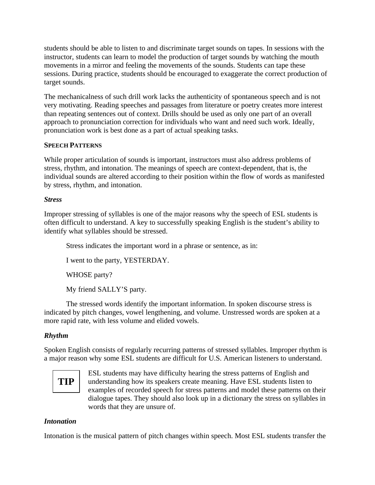students should be able to listen to and discriminate target sounds on tapes. In sessions with the instructor, students can learn to model the production of target sounds by watching the mouth movements in a mirror and feeling the movements of the sounds. Students can tape these sessions. During practice, students should be encouraged to exaggerate the correct production of target sounds.

The mechanicalness of such drill work lacks the authenticity of spontaneous speech and is not very motivating. Reading speeches and passages from literature or poetry creates more interest than repeating sentences out of context. Drills should be used as only one part of an overall approach to pronunciation correction for individuals who want and need such work. Ideally, pronunciation work is best done as a part of actual speaking tasks.

#### **SPEECH PATTERNS**

While proper articulation of sounds is important, instructors must also address problems of stress, rhythm, and intonation. The meanings of speech are context-dependent, that is, the individual sounds are altered according to their position within the flow of words as manifested by stress, rhythm, and intonation.

#### *Stress*

Improper stressing of syllables is one of the major reasons why the speech of ESL students is often difficult to understand. A key to successfully speaking English is the student's ability to identify what syllables should be stressed.

Stress indicates the important word in a phrase or sentence, as in:

I went to the party, YESTERDAY.

WHOSE party?

My friend SALLY'S party.

The stressed words identify the important information. In spoken discourse stress is indicated by pitch changes, vowel lengthening, and volume. Unstressed words are spoken at a more rapid rate, with less volume and elided vowels.

# *Rhythm*

Spoken English consists of regularly recurring patterns of stressed syllables. Improper rhythm is a major reason why some ESL students are difficult for U.S. American listeners to understand.

# **TIP**

ESL students may have difficulty hearing the stress patterns of English and understanding how its speakers create meaning. Have ESL students listen to examples of recorded speech for stress patterns and model these patterns on their dialogue tapes. They should also look up in a dictionary the stress on syllables in words that they are unsure of.

#### *Intonation*

Intonation is the musical pattern of pitch changes within speech. Most ESL students transfer the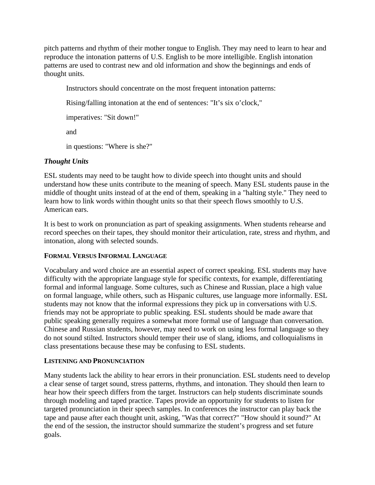pitch patterns and rhythm of their mother tongue to English. They may need to learn to hear and reproduce the intonation patterns of U.S. English to be more intelligible. English intonation patterns are used to contrast new and old information and show the beginnings and ends of thought units.

Instructors should concentrate on the most frequent intonation patterns:

Rising/falling intonation at the end of sentences: "It's six o'clock,"

imperatives: "Sit down!"

and

in questions: "Where is she?"

# *Thought Units*

ESL students may need to be taught how to divide speech into thought units and should understand how these units contribute to the meaning of speech. Many ESL students pause in the middle of thought units instead of at the end of them, speaking in a "halting style." They need to learn how to link words within thought units so that their speech flows smoothly to U.S. American ears.

It is best to work on pronunciation as part of speaking assignments. When students rehearse and record speeches on their tapes, they should monitor their articulation, rate, stress and rhythm, and intonation, along with selected sounds.

# **FORMAL VERSUS INFORMAL LANGUAGE**

Vocabulary and word choice are an essential aspect of correct speaking. ESL students may have difficulty with the appropriate language style for specific contexts, for example, differentiating formal and informal language. Some cultures, such as Chinese and Russian, place a high value on formal language, while others, such as Hispanic cultures, use language more informally. ESL students may not know that the informal expressions they pick up in conversations with U.S. friends may not be appropriate to public speaking. ESL students should be made aware that public speaking generally requires a somewhat more formal use of language than conversation. Chinese and Russian students, however, may need to work on using less formal language so they do not sound stilted. Instructors should temper their use of slang, idioms, and colloquialisms in class presentations because these may be confusing to ESL students.

# **LISTENING AND PRONUNCIATION**

Many students lack the ability to hear errors in their pronunciation. ESL students need to develop a clear sense of target sound, stress patterns, rhythms, and intonation. They should then learn to hear how their speech differs from the target. Instructors can help students discriminate sounds through modeling and taped practice. Tapes provide an opportunity for students to listen for targeted pronunciation in their speech samples. In conferences the instructor can play back the tape and pause after each thought unit, asking, "Was that correct?" "How should it sound?" At the end of the session, the instructor should summarize the student's progress and set future goals.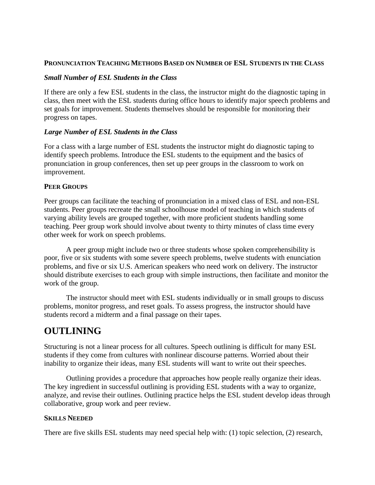#### **PRONUNCIATION TEACHING METHODS BASED ON NUMBER OF ESL STUDENTS IN THE CLASS**

## *Small Number of ESL Students in the Class*

If there are only a few ESL students in the class, the instructor might do the diagnostic taping in class, then meet with the ESL students during office hours to identify major speech problems and set goals for improvement. Students themselves should be responsible for monitoring their progress on tapes.

#### *Large Number of ESL Students in the Class*

For a class with a large number of ESL students the instructor might do diagnostic taping to identify speech problems. Introduce the ESL students to the equipment and the basics of pronunciation in group conferences, then set up peer groups in the classroom to work on improvement.

#### **PEER GROUPS**

Peer groups can facilitate the teaching of pronunciation in a mixed class of ESL and non-ESL students. Peer groups recreate the small schoolhouse model of teaching in which students of varying ability levels are grouped together, with more proficient students handling some teaching. Peer group work should involve about twenty to thirty minutes of class time every other week for work on speech problems.

A peer group might include two or three students whose spoken comprehensibility is poor, five or six students with some severe speech problems, twelve students with enunciation problems, and five or six U.S. American speakers who need work on delivery. The instructor should distribute exercises to each group with simple instructions, then facilitate and monitor the work of the group.

The instructor should meet with ESL students individually or in small groups to discuss problems, monitor progress, and reset goals. To assess progress, the instructor should have students record a midterm and a final passage on their tapes.

# **OUTLINING**

Structuring is not a linear process for all cultures. Speech outlining is difficult for many ESL students if they come from cultures with nonlinear discourse patterns. Worried about their inability to organize their ideas, many ESL students will want to write out their speeches.

Outlining provides a procedure that approaches how people really organize their ideas. The key ingredient in successful outlining is providing ESL students with a way to organize, analyze, and revise their outlines. Outlining practice helps the ESL student develop ideas through collaborative, group work and peer review.

# **SKILLS NEEDED**

There are five skills ESL students may need special help with: (1) topic selection, (2) research,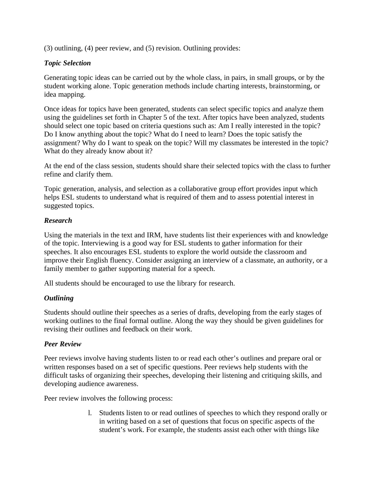(3) outlining, (4) peer review, and (5) revision. Outlining provides:

# *Topic Selection*

Generating topic ideas can be carried out by the whole class, in pairs, in small groups, or by the student working alone. Topic generation methods include charting interests, brainstorming, or idea mapping.

Once ideas for topics have been generated, students can select specific topics and analyze them using the guidelines set forth in Chapter 5 of the text. After topics have been analyzed, students should select one topic based on criteria questions such as: Am I really interested in the topic? Do I know anything about the topic? What do I need to learn? Does the topic satisfy the assignment? Why do I want to speak on the topic? Will my classmates be interested in the topic? What do they already know about it?

At the end of the class session, students should share their selected topics with the class to further refine and clarify them.

Topic generation, analysis, and selection as a collaborative group effort provides input which helps ESL students to understand what is required of them and to assess potential interest in suggested topics.

# *Research*

Using the materials in the text and IRM, have students list their experiences with and knowledge of the topic. Interviewing is a good way for ESL students to gather information for their speeches. It also encourages ESL students to explore the world outside the classroom and improve their English fluency. Consider assigning an interview of a classmate, an authority, or a family member to gather supporting material for a speech.

All students should be encouraged to use the library for research.

# *Outlining*

Students should outline their speeches as a series of drafts, developing from the early stages of working outlines to the final formal outline. Along the way they should be given guidelines for revising their outlines and feedback on their work.

# *Peer Review*

Peer reviews involve having students listen to or read each other's outlines and prepare oral or written responses based on a set of specific questions. Peer reviews help students with the difficult tasks of organizing their speeches, developing their listening and critiquing skills, and developing audience awareness.

Peer review involves the following process:

l. Students listen to or read outlines of speeches to which they respond orally or in writing based on a set of questions that focus on specific aspects of the student's work. For example, the students assist each other with things like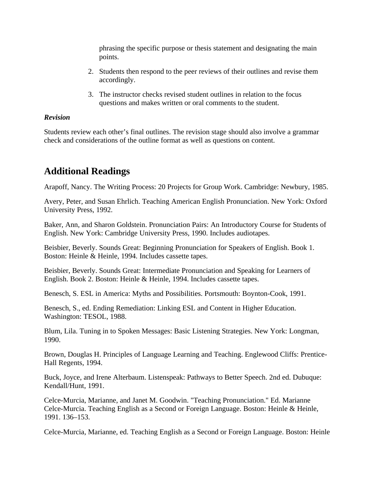phrasing the specific purpose or thesis statement and designating the main points.

- 2. Students then respond to the peer reviews of their outlines and revise them accordingly.
- 3. The instructor checks revised student outlines in relation to the focus questions and makes written or oral comments to the student.

#### *Revision*

Students review each other's final outlines. The revision stage should also involve a grammar check and considerations of the outline format as well as questions on content.

# **Additional Readings**

Arapoff, Nancy. The Writing Process: 20 Projects for Group Work. Cambridge: Newbury, 1985.

Avery, Peter, and Susan Ehrlich. Teaching American English Pronunciation. New York: Oxford University Press, 1992.

Baker, Ann, and Sharon Goldstein. Pronunciation Pairs: An Introductory Course for Students of English. New York: Cambridge University Press, 1990. Includes audiotapes.

Beisbier, Beverly. Sounds Great: Beginning Pronunciation for Speakers of English. Book 1. Boston: Heinle & Heinle, 1994. Includes cassette tapes.

Beisbier, Beverly. Sounds Great: Intermediate Pronunciation and Speaking for Learners of English. Book 2. Boston: Heinle & Heinle, 1994. Includes cassette tapes.

Benesch, S. ESL in America: Myths and Possibilities. Portsmouth: Boynton-Cook, 1991.

Benesch, S., ed. Ending Remediation: Linking ESL and Content in Higher Education. Washington: TESOL, 1988.

Blum, Lila. Tuning in to Spoken Messages: Basic Listening Strategies. New York: Longman, 1990.

Brown, Douglas H. Principles of Language Learning and Teaching. Englewood Cliffs: Prentice-Hall Regents, 1994.

Buck, Joyce, and Irene Alterbaum. Listenspeak: Pathways to Better Speech. 2nd ed. Dubuque: Kendall/Hunt, 1991.

Celce-Murcia, Marianne, and Janet M. Goodwin. "Teaching Pronunciation." Ed. Marianne Celce-Murcia. Teaching English as a Second or Foreign Language. Boston: Heinle & Heinle, 1991. 136–153.

Celce-Murcia, Marianne, ed. Teaching English as a Second or Foreign Language. Boston: Heinle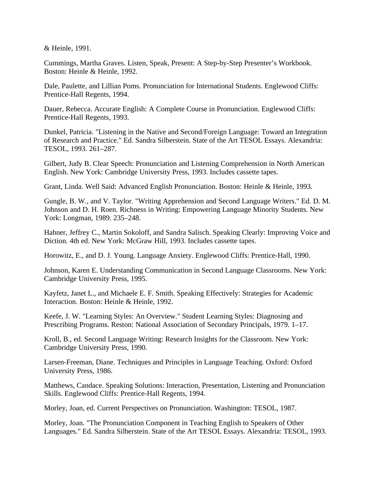& Heinle, 1991.

Cummings, Martha Graves. Listen, Speak, Present: A Step-by-Step Presenter's Workbook. Boston: Heinle & Heinle, 1992.

Dale, Paulette, and Lillian Poms. Pronunciation for International Students. Englewood Cliffs: Prentice-Hall Regents, 1994.

Dauer, Rebecca. Accurate English: A Complete Course in Pronunciation. Englewood Cliffs: Prentice-Hall Regents, 1993.

Dunkel, Patricia. "Listening in the Native and Second/Foreign Language: Toward an Integration of Research and Practice." Ed. Sandra Silberstein. State of the Art TESOL Essays. Alexandria: TESOL, 1993. 261–287.

Gilbert, Judy B. Clear Speech: Pronunciation and Listening Comprehension in North American English. New York: Cambridge University Press, 1993. Includes cassette tapes.

Grant, Linda. Well Said: Advanced English Pronunciation. Boston: Heinle & Heinle, 1993.

Gungle, B. W., and V. Taylor. "Writing Apprehension and Second Language Writers." Ed. D. M. Johnson and D. H. Roen. Richness in Writing: Empowering Language Minority Students. New York: Longman, 1989. 235–248.

Hahner, Jeffrey C., Martin Sokoloff, and Sandra Salisch. Speaking Clearly: Improving Voice and Diction. 4th ed. New York: McGraw Hill, 1993. Includes cassette tapes.

Horowitz, E., and D. J. Young. Language Anxiety. Englewood Cliffs: Prentice-Hall, 1990.

Johnson, Karen E. Understanding Communication in Second Language Classrooms. New York: Cambridge University Press, 1995.

Kayfetz, Janet L., and Michaele E. F. Smith. Speaking Effectively: Strategies for Academic Interaction. Boston: Heinle & Heinle, 1992.

Keefe, J. W. "Learning Styles: An Overview." Student Learning Styles: Diagnosing and Prescribing Programs. Reston: National Association of Secondary Principals, 1979. 1–17.

Kroll, B., ed. Second Language Writing: Research Insights for the Classroom. New York: Cambridge University Press, 1990.

Larsen-Freeman, Diane. Techniques and Principles in Language Teaching. Oxford: Oxford University Press, 1986.

Matthews, Candace. Speaking Solutions: Interaction, Presentation, Listening and Pronunciation Skills. Englewood Cliffs: Prentice-Hall Regents, 1994.

Morley, Joan, ed. Current Perspectives on Pronunciation. Washington: TESOL, 1987.

Morley, Joan. "The Pronunciation Component in Teaching English to Speakers of Other Languages." Ed. Sandra Silberstein. State of the Art TESOL Essays. Alexandria: TESOL, 1993.